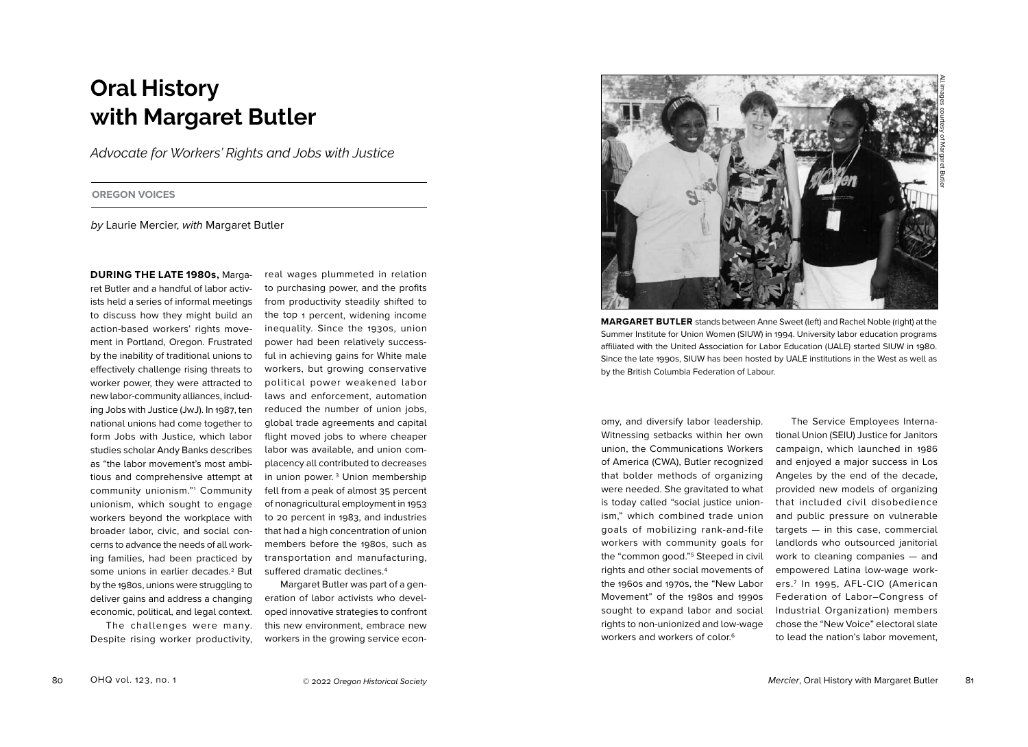# **Oral History with Margaret Butler**

*Advocate for Workers' Rights and Jobs with Justice*

**OREGON VOICES**

*by* Laurie Mercier, *with* Margaret Butler

**DURING THE LATE 1980s,** Margaret Butler and a handful of labor activists held a series of informal meetings to discuss how they might build an action-based workers' rights movement in Portland, Oregon. Frustrated by the inability of traditional unions to effectively challenge rising threats to worker power, they were attracted to new labor-community alliances, including Jobs with Justice (JwJ). In 1987, ten national unions had come together to form Jobs with Justice, which labor studies scholar Andy Banks describes as "the labor movement's most ambitious and comprehensive attempt at community unionism."1 Community unionism, which sought to engage workers beyond the workplace with broader labor, civic, and social concerns to advance the needs of all working families, had been practiced by some unions in earlier decades.<sup>2</sup> But by the 1980s, unions were struggling to deliver gains and address a changing economic, political, and legal context. The challenges were many.

Despite rising worker productivity,

real wages plummeted in relation to purchasing power, and the profits from productivity steadily shifted to the top 1 percent, widening income inequality. Since the 1930s, union power had been relatively successful in achieving gains for White male workers, but growing conservative political power weakened labor laws and enforcement, automation reduced the number of union jobs, global trade agreements and capital flight moved jobs to where cheaper labor was available, and union complacency all contributed to decreases in union power. 3 Union membership fell from a peak of almost 35 percent of nonagricultural employment in 1953 to 20 percent in 1983, and industries that had a high concentration of union members before the 1980s, such as transportation and manufacturing, suffered dramatic declines.4

Margaret Butler was part of a generation of labor activists who developed innovative strategies to confront this new environment, embrace new workers in the growing service econ-



**MARGARET BUTLER** stands between Anne Sweet (left) and Rachel Noble (right) at the Summer Institute for Union Women (SIUW) in 1994. University labor education programs affiliated with the United Association for Labor Education (UALE) started SIUW in 1980. Since the late 1990s, SIUW has been hosted by UALE institutions in the West as well as by the British Columbia Federation of Labour.

omy, and diversify labor leadership. Witnessing setbacks within her own union, the Communications Workers of America (CWA), Butler recognized that bolder methods of organizing were needed. She gravitated to what is today called "social justice unionism," which combined trade union goals of mobilizing rank-and-file workers with community goals for the "common good."5 Steeped in civil rights and other social movements of the 1960s and 1970s, the "New Labor Movement" of the 1980s and 1990s sought to expand labor and social rights to non-unionized and low-wage workers and workers of color.<sup>6</sup>

The Service Employees International Union (SEIU) Justice for Janitors campaign, which launched in 1986 and enjoyed a major success in Los Angeles by the end of the decade, provided new models of organizing that included civil disobedience and public pressure on vulnerable targets — in this case, commercial landlords who outsourced janitorial work to cleaning companies — and empowered Latina low-wage workers.7 In 1995, AFL-CIO (American Federation of Labor–Congress of Industrial Organization) members chose the "New Voice" electoral slate to lead the nation's labor movement,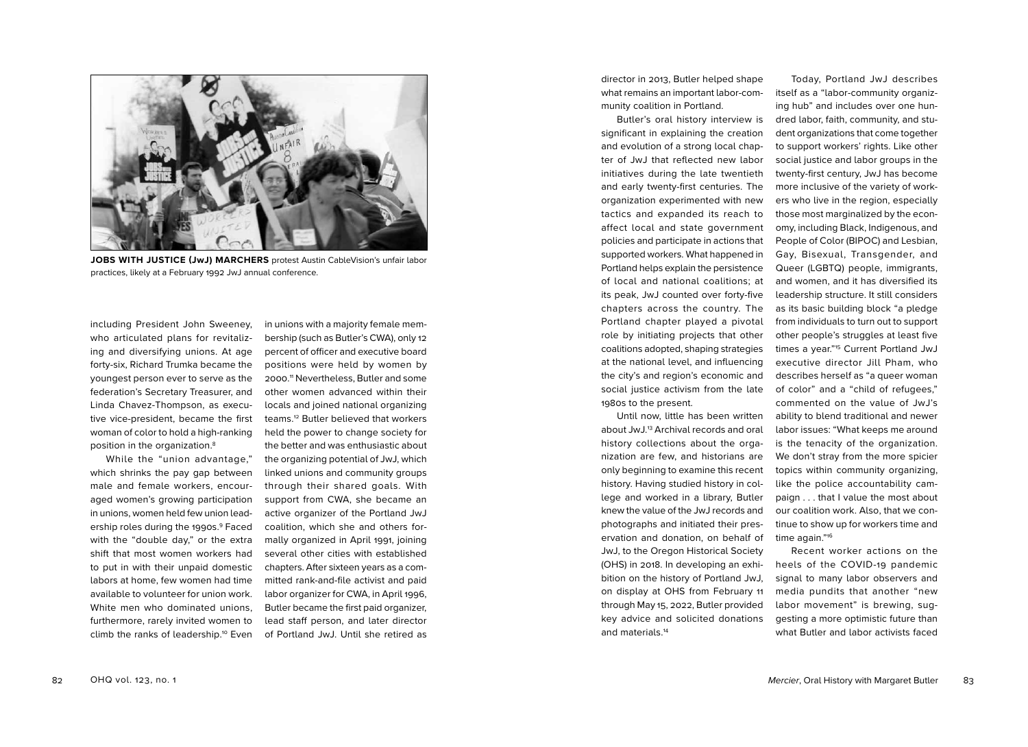

**JOBS WITH JUSTICE (JwJ) MARCHERS** protest Austin CableVision's unfair labor practices, likely at a February 1992 JwJ annual conference.

including President John Sweeney, who articulated plans for revitalizing and diversifying unions. At age forty-six, Richard Trumka became the youngest person ever to serve as the federation's Secretary Treasurer, and Linda Chavez-Thompson, as executive vice-president, became the first woman of color to hold a high-ranking position in the organization.8

While the "union advantage," which shrinks the pay gap between male and female workers, encouraged women's growing participation in unions, women held few union leadership roles during the 1990s.9 Faced with the "double day," or the extra shift that most women workers had to put in with their unpaid domestic labors at home, few women had time available to volunteer for union work. White men who dominated unions, furthermore, rarely invited women to climb the ranks of leadership.<sup>10</sup> Even

in unions with a majority female membership (such as Butler's CWA), only 12 percent of officer and executive board positions were held by women by 2000. 11 Nevertheless, Butler and some other women advanced within their locals and joined national organizing teams.12 Butler believed that workers held the power to change society for the better and was enthusiastic about the organizing potential of JwJ, which linked unions and community groups through their shared goals. With support from CWA, she became an active organizer of the Portland JwJ coalition, which she and others formally organized in April 1991, joining several other cities with established chapters. After sixteen years as a committed rank-and-file activist and paid labor organizer for CWA, in April 1996, Butler became the first paid organizer, lead staff person, and later director of Portland JwJ. Until she retired as

director in 2013, Butler helped shape what remains an important labor-community coalition in Portland.

Butler's oral history interview is significant in explaining the creation and evolution of a strong local chapter of JwJ that reflected new labor initiatives during the late twentieth and early twenty-first centuries. The organization experimented with new tactics and expanded its reach to affect local and state government policies and participate in actions that supported workers. What happened in Portland helps explain the persistence of local and national coalitions; at its peak, JwJ counted over forty-five chapters across the country. The Portland chapter played a pivotal role by initiating projects that other coalitions adopted, shaping strategies at the national level, and influencing the city's and region's economic and social justice activism from the late 1980s to the present.

Until now, little has been written about JwJ.<sup>13</sup> Archival records and oral history collections about the organization are few, and historians are only beginning to examine this recent history. Having studied history in college and worked in a library, Butler knew the value of the JwJ records and photographs and initiated their preservation and donation, on behalf of JwJ, to the Oregon Historical Society (OHS) in 2018. In developing an exhibition on the history of Portland JwJ, on display at OHS from February 11 through May 15, 2022, Butler provided key advice and solicited donations and materials.14

Today, Portland JwJ describes itself as a "labor-community organizing hub" and includes over one hundred labor, faith, community, and student organizations that come together to support workers' rights. Like other social justice and labor groups in the twenty-first century, JwJ has become more inclusive of the variety of workers who live in the region, especially those most marginalized by the economy, including Black, Indigenous, and People of Color (BIPOC) and Lesbian, Gay, Bisexual, Transgender, and Queer (LGBTQ) people, immigrants, and women, and it has diversified its leadership structure. It still considers as its basic building block "a pledge from individuals to turn out to support other people's struggles at least five times a year."15 Current Portland JwJ executive director Jill Pham, who describes herself as "a queer woman of color" and a "child of refugees," commented on the value of JwJ's ability to blend traditional and newer labor issues: "What keeps me around is the tenacity of the organization. We don't stray from the more spicier topics within community organizing, like the police accountability campaign . . . that I value the most about our coalition work. Also, that we continue to show up for workers time and time again."16

Recent worker actions on the heels of the COVID-19 pandemic signal to many labor observers and media pundits that another "new labor movement" is brewing, suggesting a more optimistic future than what Butler and labor activists faced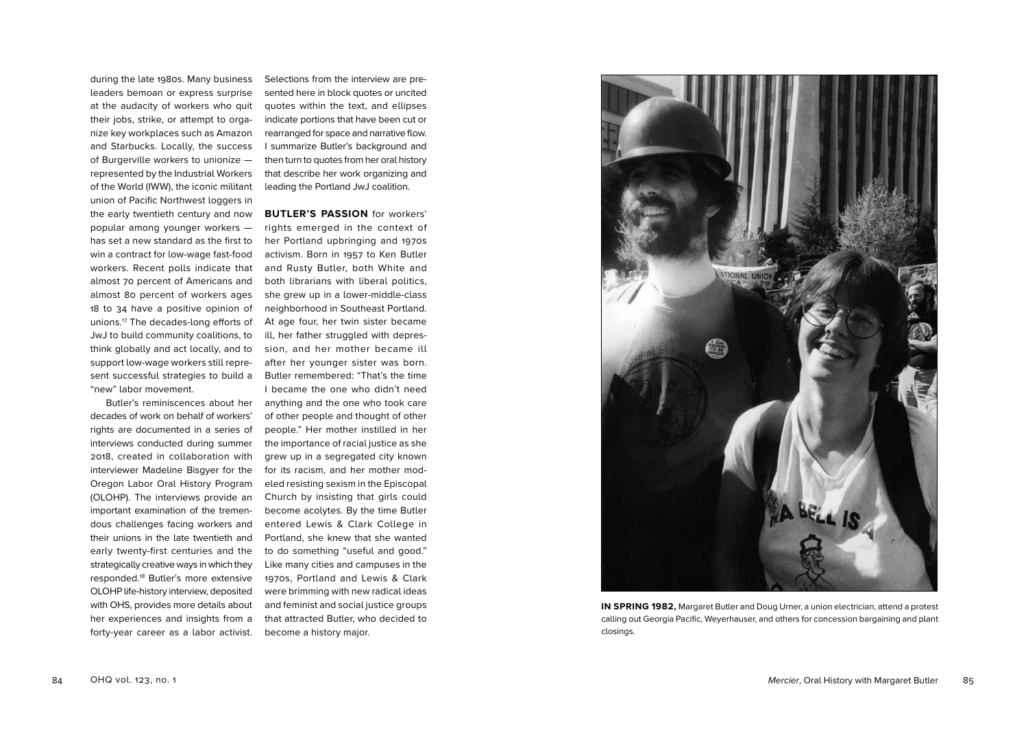during the late 1980s. Many business leaders bemoan or express surprise at the audacity of workers who quit their jobs, strike, or attempt to organize key workplaces such as Amazon and Starbucks. Locally, the success of Burgerville workers to unionize represented by the Industrial Workers of the World (IWW), the iconic militant union of Pacific Northwest loggers in the early twentieth century and now popular among younger workers has set a new standard as the first to win a contract for low-wage fast-food workers. Recent polls indicate that almost 70 percent of Americans and almost 80 percent of workers ages 18 to 34 have a positive opinion of unions.17 The decades-long efforts of JwJ to build community coalitions, to think globally and act locally, and to support low-wage workers still represent successful strategies to build a "new" labor movement.

Butler's reminiscences about her decades of work on behalf of workers' rights are documented in a series of interviews conducted during summer 2018, created in collaboration with interviewer Madeline Bisgyer for the Oregon Labor Oral History Program (OLOHP). The interviews provide an important examination of the tremendous challenges facing workers and their unions in the late twentieth and early twenty-first centuries and the strategically creative ways in which they responded.18 Butler's more extensive OLOHP life-history interview, deposited with OHS, provides more details about her experiences and insights from a forty-year career as a labor activist.

Selections from the interview are presented here in block quotes or uncited quotes within the text, and ellipses indicate portions that have been cut or rearranged for space and narrative flow. I summarize Butler's background and then turn to quotes from her oral history that describe her work organizing and leading the Portland JwJ coalition.

#### **BUTLER'S PASSION** for workers'

rights emerged in the context of her Portland upbringing and 1970s activism. Born in 1957 to Ken Butler and Rusty Butler, both White and both librarians with liberal politics, she grew up in a lower-middle-class neighborhood in Southeast Portland. At age four, her twin sister became ill, her father struggled with depression, and her mother became ill after her younger sister was born. Butler remembered: "That's the time I became the one who didn't need anything and the one who took care of other people and thought of other people." Her mother instilled in her the importance of racial justice as she grew up in a segregated city known for its racism, and her mother modeled resisting sexism in the Episcopal Church by insisting that girls could become acolytes. By the time Butler entered Lewis & Clark College in Portland, she knew that she wanted to do something "useful and good." Like many cities and campuses in the 1970s, Portland and Lewis & Clark were brimming with new radical ideas and feminist and social justice groups that attracted Butler, who decided to become a history major.



**IN SPRING 1982,** Margaret Butler and Doug Urner, a union electrician, attend a protest calling out Georgia Pacific, Weyerhauser, and others for concession bargaining and plant closings.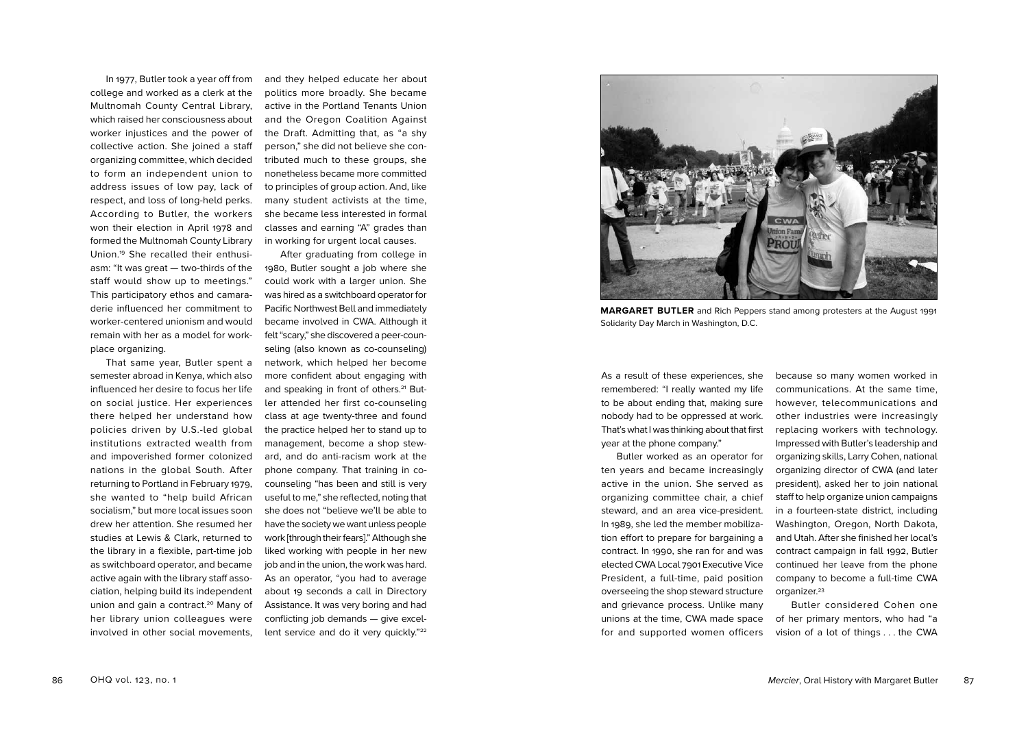In 1977, Butler took a year off from college and worked as a clerk at the Multnomah County Central Library, which raised her consciousness about worker injustices and the power of collective action. She joined a staff organizing committee, which decided to form an independent union to address issues of low pay, lack of respect, and loss of long-held perks. According to Butler, the workers won their election in April 1978 and formed the Multnomah County Library Union.19 She recalled their enthusiasm: "It was great — two-thirds of the staff would show up to meetings." This participatory ethos and camaraderie influenced her commitment to worker-centered unionism and would remain with her as a model for workplace organizing.

That same year, Butler spent a semester abroad in Kenya, which also influenced her desire to focus her life on social justice. Her experiences there helped her understand how policies driven by U.S.-led global institutions extracted wealth from and impoverished former colonized nations in the global South. After returning to Portland in February 1979, she wanted to "help build African socialism," but more local issues soon drew her attention. She resumed her studies at Lewis & Clark, returned to the library in a flexible, part-time job as switchboard operator, and became active again with the library staff association, helping build its independent union and gain a contract.<sup>20</sup> Many of her library union colleagues were involved in other social movements,

and they helped educate her about politics more broadly. She became active in the Portland Tenants Union and the Oregon Coalition Against the Draft. Admitting that, as "a shy person," she did not believe she contributed much to these groups, she nonetheless became more committed to principles of group action. And, like many student activists at the time, she became less interested in formal classes and earning "A" grades than in working for urgent local causes.

After graduating from college in 1980, Butler sought a job where she could work with a larger union. She was hired as a switchboard operator for Pacific Northwest Bell and immediately became involved in CWA. Although it felt "scary," she discovered a peer-counseling (also known as co-counseling) network, which helped her become more confident about engaging with and speaking in front of others.<sup>21</sup> Butler attended her first co-counseling class at age twenty-three and found the practice helped her to stand up to management, become a shop steward, and do anti-racism work at the phone company. That training in cocounseling "has been and still is very useful to me," she reflected, noting that she does not "believe we'll be able to have the society we want unless people work [through their fears]." Although she liked working with people in her new job and in the union, the work was hard. As an operator, "you had to average about 19 seconds a call in Directory Assistance. It was very boring and had conflicting job demands — give excellent service and do it very quickly."<sup>22</sup>



**MARGARET BUTLER** and Rich Peppers stand among protesters at the August 1991 Solidarity Day March in Washington, D.C.

As a result of these experiences, she remembered: "I really wanted my life to be about ending that, making sure nobody had to be oppressed at work. That's what I was thinking about that first year at the phone company."

Butler worked as an operator for ten years and became increasingly active in the union. She served as organizing committee chair, a chief steward, and an area vice-president. In 1989, she led the member mobilization effort to prepare for bargaining a contract. In 1990, she ran for and was elected CWA Local 7901 Executive Vice President, a full-time, paid position overseeing the shop steward structure and grievance process. Unlike many unions at the time, CWA made space for and supported women officers

because so many women worked in communications. At the same time, however, telecommunications and other industries were increasingly replacing workers with technology. Impressed with Butler's leadership and organizing skills, Larry Cohen, national organizing director of CWA (and later president), asked her to join national staff to help organize union campaigns in a fourteen-state district, including Washington, Oregon, North Dakota, and Utah. After she finished her local's contract campaign in fall 1992, Butler continued her leave from the phone company to become a full-time CWA organizer.<sup>23</sup>

Butler considered Cohen one of her primary mentors, who had "a vision of a lot of things . . . the CWA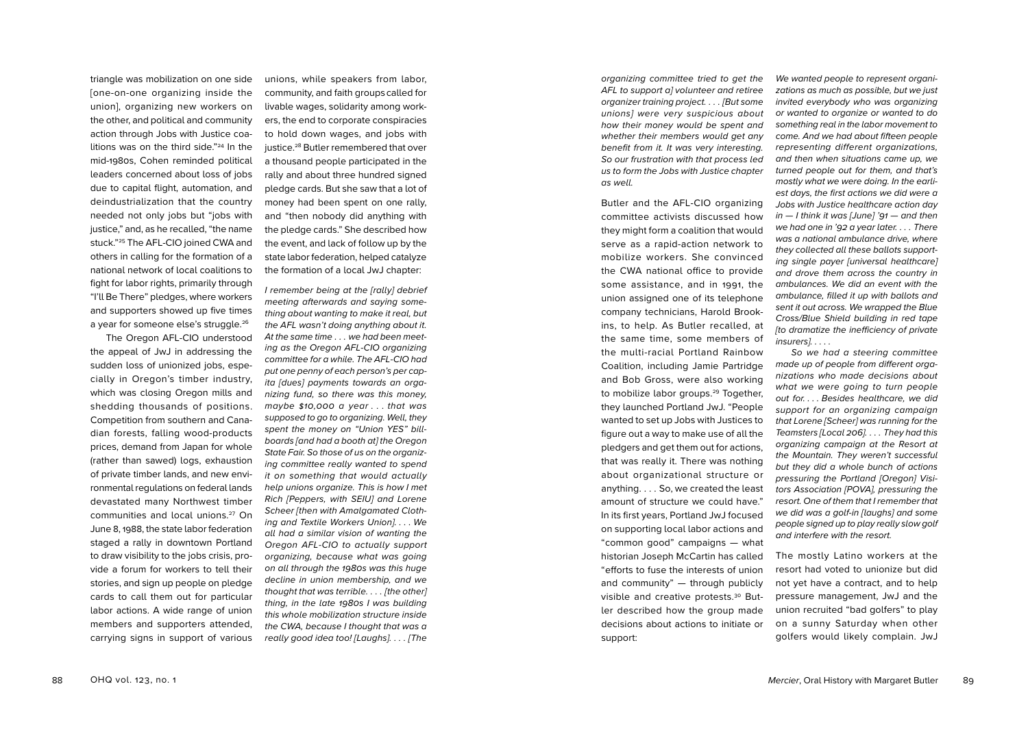triangle was mobilization on one side [one-on-one organizing inside the union], organizing new workers on the other, and political and community action through Jobs with Justice coa litions was on the third side."24 In the mid-1980s, Cohen reminded political leaders concerned about loss of jobs due to capital flight, automation, and deindustrialization that the country needed not only jobs but "jobs with justice," and, as he recalled, "the name stuck."25 The AFL-CIO joined CWA and others in calling for the formation of a national network of local coalitions to fight for labor rights, primarily through "I'll Be There" pledges, where workers and supporters showed up five times a year for someone else's struggle.<sup>26</sup>

The Oregon AFL-CIO understood the appeal of JwJ in addressing the sudden loss of unionized jobs, espe cially in Oregon's timber industry, which was closing Oregon mills and shedding thousands of positions. Competition from southern and Cana dian forests, falling wood-products prices, demand from Japan for whole (rather than sawed) logs, exhaustion of private timber lands, and new envi ronmental regulations on federal lands devastated many Northwest timber communities and local unions.<sup>27</sup> On June 8, 1988, the state labor federation staged a rally in downtown Portland to draw visibility to the jobs crisis, pro vide a forum for workers to tell their stories, and sign up people on pledge cards to call them out for particular labor actions. A wide range of union members and supporters attended, carrying signs in support of various

unions, while speakers from labor, community, and faith groups called for livable wages, solidarity among work ers, the end to corporate conspiracies to hold down wages, and jobs with justice.<sup>28</sup> Butler remembered that over a thousand people participated in the rally and about three hundred signed pledge cards. But she saw that a lot of money had been spent on one rally, and "then nobody did anything with the pledge cards." She described how the event, and lack of follow up by the state labor federation, helped catalyze the formation of a local JwJ chapter:

*I remember being at the [rally] debrief meeting afterwards and saying some thing about wanting to make it real, but the AFL wasn't doing anything about it. At the same time . . . we had been meeting as the Oregon AFL-CIO organizing committee for a while. The AFL-CIO had put one penny of each person's per cap ita [dues] payments towards an orga nizing fund, so there was this money, maybe \$10,000 a year . . . that was supposed to go to organizing. Well, they spent the money on "Union YES" bill boards [and had a booth at] the Oregon State Fair. So those of us on the organiz ing committee really wanted to spend it on something that would actually help unions organize. This is how I met Rich [Peppers, with SEIU] and Lorene Scheer [then with Amalgamated Cloth ing and Textile Workers Union]. . . . We all had a similar vision of wanting the Oregon AFL-CIO to actually support organizing, because what was going on all through the 1980s was this huge decline in union membership, and we thought that was terrible. . . . [the other] thing, in the late 1980s I was building this whole mobilization structure inside the CWA, because I thought that was a really good idea too! [Laughs]. . . . [The*  *organizing committee tried to get the AFL to support a] volunteer and retiree organizer training project. . . . [But some unions] were very suspicious about how their money would be spent and whether their members would get any benefit from it. It was very interesting. So our frustration with that process led us to form the Jobs with Justice chapter as well.*

Butler and the AFL-CIO organizing committee activists discussed how they might form a coalition that would serve as a rapid-action network to mobilize workers. She convinced the CWA national office to provide some assistance, and in 1991, the union assigned one of its telephone company technicians, Harold Brook ins, to help. As Butler recalled, at the same time, some members of the multi-racial Portland Rainbow Coalition, including Jamie Partridge and Bob Gross, were also working to mobilize labor groups.<sup>29</sup> Together, they launched Portland JwJ. "People wanted to set up Jobs with Justices to figure out a way to make use of all the pledgers and get them out for actions, that was really it. There was nothing about organizational structure or anything. . . . So, we created the least amount of structure we could have." In its first years, Portland JwJ focused on supporting local labor actions and "common good" campaigns — what historian Joseph McCartin has called "efforts to fuse the interests of union and community" — through publicly visible and creative protests.<sup>30</sup> Butler described how the group made decisions about actions to initiate or support:

*We wanted people to represent organi zations as much as possible, but we just invited everybody who was organizing or wanted to organize or wanted to do something real in the labor movement to come. And we had about fifteen people representing different organizations, and then when situations came up, we turned people out for them, and that's mostly what we were doing. In the earli est days, the first actions we did were a Jobs with Justice healthcare action day in — I think it was [June] '91 — and then we had one in '92 a year later. . . . There was a national ambulance drive, where they collected all these ballots supporting single payer [universal healthcare] and drove them across the country in ambulances. We did an event with the ambulance, filled it up with ballots and sent it out across. We wrapped the Blue Cross/Blue Shield building in red tape [to dramatize the inefficiency of private insurers]. . . . .*

*So we had a steering committee made up of people from different orga nizations who made decisions about what we were going to turn people out for. . . . Besides healthcare, we did support for an organizing campaign that Lorene [Scheer] was running for the Teamsters [Local 206]. . . . They had this organizing campaign at the Resort at the Mountain. They weren't successful but they did a whole bunch of actions pressuring the Portland [Oregon] Visi tors Association [POVA], pressuring the resort. One of them that I remember that we did was a golf-in [laughs] and some people signed up to play really slow golf and interfere with the resort.*

The mostly Latino workers at the resort had voted to unionize but did not yet have a contract, and to help pressure management, JwJ and the union recruited "bad golfers" to play on a sunny Saturday when other golfers would likely complain. JwJ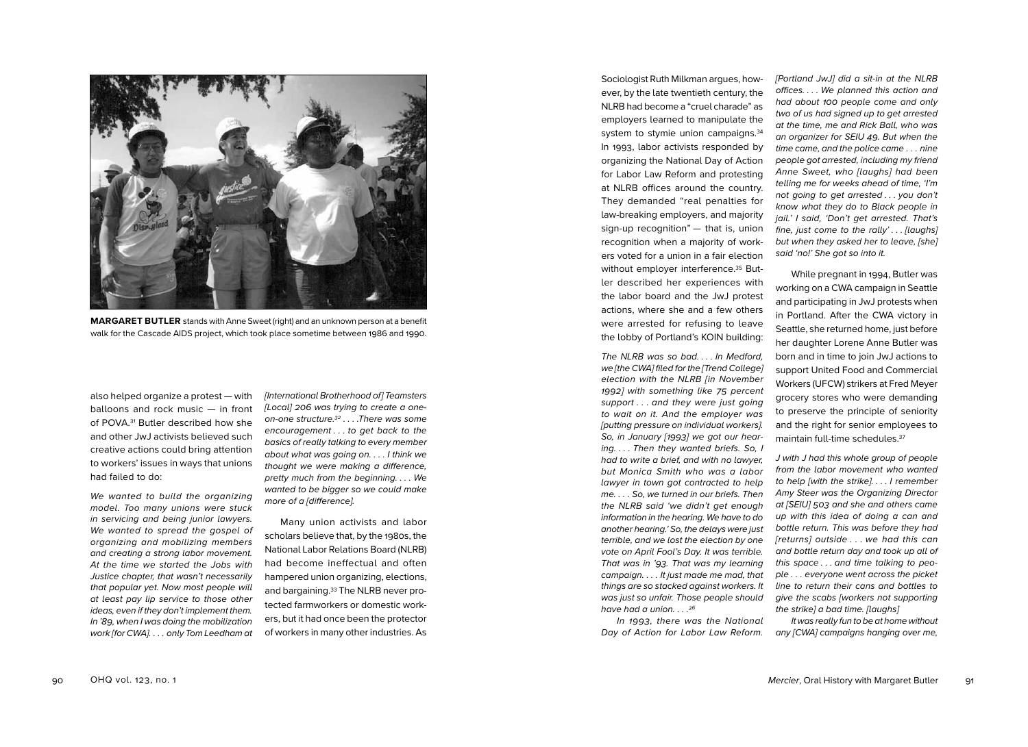

**MARGARET BUTLER** stands with Anne Sweet (right) and an unknown person at a benefit walk for the Cascade AIDS project, which took place sometime between 1986 and 1990.

also helped organize a protest — with balloons and rock music — in front of POVA.<sup>31</sup> Butler described how she and other JwJ activists believed such creative actions could bring attention to workers' issues in ways that unions had failed to do:

*We wanted to build the organizing model. Too many unions were stuck in servicing and being junior lawyers. We wanted to spread the gospel of organizing and mobilizing members and creating a strong labor movement. At the time we started the Jobs with Justice chapter, that wasn't necessarily that popular yet. Now most people will at least pay lip service to those other ideas, even if they don't implement them. In '89, when I was doing the mobilization work [for CWA]. . . . only Tom Leedham at*  *[International Brotherhood of] Teamsters [Local] 206 was trying to create a oneon-one structure.32 . . . .There was some encouragement . . . to get back to the basics of really talking to every member about what was going on. . . . I think we thought we were making a difference, pretty much from the beginning. . . . We wanted to be bigger so we could make more of a [difference].*

Many union activists and labor scholars believe that, by the 1980s, the National Labor Relations Board (NLRB) had become ineffectual and often hampered union organizing, elections, and bargaining.<sup>33</sup> The NLRB never protected farmworkers or domestic work ers, but it had once been the protector of workers in many other industries. As

Sociologist Ruth Milkman argues, how ever, by the late twentieth century, the NLRB had become a "cruel charade" as employers learned to manipulate the system to stymie union campaigns.<sup>34</sup> In 1993, labor activists responded by organizing the National Day of Action for Labor Law Reform and protesting at NLRB offices around the country. They demanded "real penalties for law-breaking employers, and majority sign-up recognition" - that is, union recognition when a majority of work ers voted for a union in a fair election without employer interference.<sup>35</sup> Butler described her experiences with the labor board and the JwJ protest actions, where she and a few others were arrested for refusing to leave the lobby of Portland's KOIN building:

*The NLRB was so bad. . . . In Medford, we [the CWA] filed for the [Trend College] election with the NLRB [in November 1992] with something like 75 percent support . . . and they were just going to wait on it. And the employer was [putting pressure on individual workers]. So, in January [1993] we got our hearing. . . . Then they wanted briefs. So, I had to write a brief, and with no lawyer, but Monica Smith who was a labor lawyer in town got contracted to help me. . . . So, we turned in our briefs. Then the NLRB said 'we didn't get enough information in the hearing. We have to do another hearing.' So, the delays were just terrible, and we lost the election by one vote on April Fool's Day. It was terrible. That was in '93. That was my learning campaign. . . . It just made me mad, that things are so stacked against workers. It was just so unfair. Those people should have had a union. . . . 36*

*In 1993, there was the National Day of Action for Labor Law Reform.*  *[Portland JwJ] did a sit-in at the NLRB offices. . . . We planned this action and had about 100 people come and only two of us had signed up to get arrested at the time, me and Rick Ball, who was an organizer for SEIU 49. But when the time came, and the police came . . . nine people got arrested, including my friend Anne Sweet, who [laughs] had been telling me for weeks ahead of time, 'I'm not going to get arrested . . . you don't know what they do to Black people in jail.' I said, 'Don't get arrested. That's fine, just come to the rally' . . . [laughs] but when they asked her to leave, [she] said 'no!' She got so into it.*

While pregnant in 1994, Butler was working on a CWA campaign in Seattle and participating in JwJ protests when in Portland. After the CWA victory in Seattle, she returned home, just before her daughter Lorene Anne Butler was born and in time to join JwJ actions to support United Food and Commercial Workers (UFCW) strikers at Fred Meyer grocery stores who were demanding to preserve the principle of seniority and the right for senior employees to maintain full-time schedules.37

*J with J had this whole group of people from the labor movement who wanted to help [with the strike]. . . . I remember Amy Steer was the Organizing Director at [SEIU] 503 and she and others came up with this idea of doing a can and bottle return. This was before they had [returns] outside . . . we had this can and bottle return day and took up all of this space . . . and time talking to peo ple . . . everyone went across the picket line to return their cans and bottles to give the scabs [workers not supporting the strike] a bad time. [laughs]* 

*It was really fun to be at home without any [CWA] campaigns hanging over me,*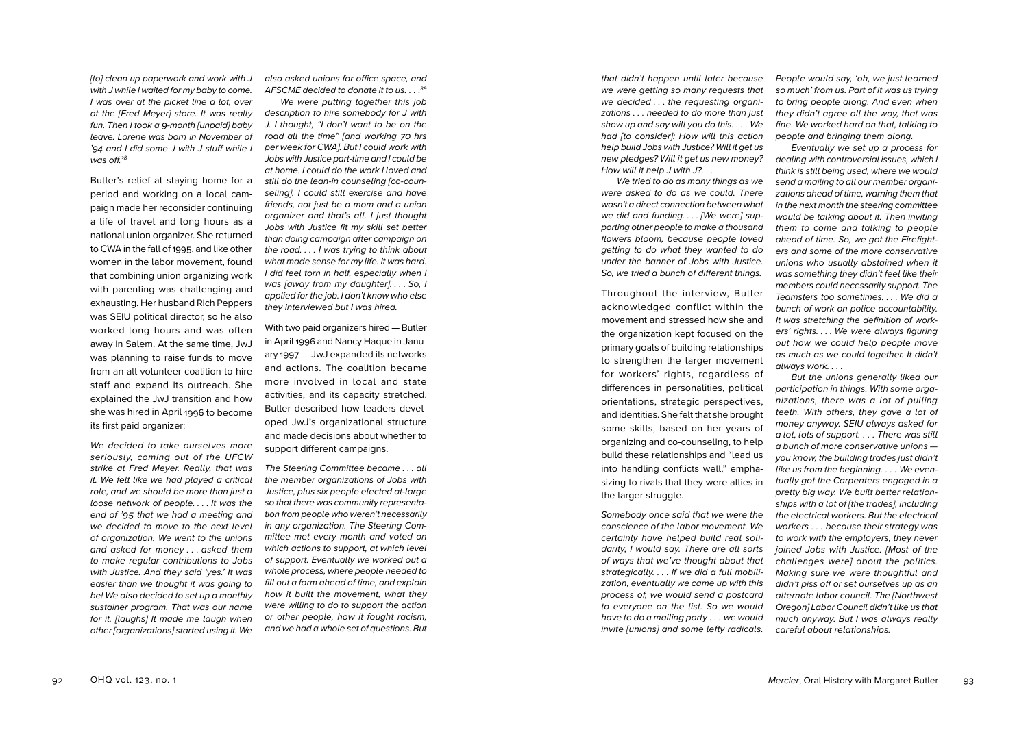*[to] clean up paperwork and work with J with J while I waited for my baby to come. I was over at the picket line a lot, over at the [Fred Meyer] store. It was really fun. Then I took a 9-month [unpaid] baby leave. Lorene was born in November of '94 and I did some J with J stuff while I was off.38*

Butler's relief at staying home for a period and working on a local cam paign made her reconsider continuing a life of travel and long hours as a national union organizer. She returned to CWA in the fall of 1995, and like other women in the labor movement, found that combining union organizing work with parenting was challenging and exhausting. Her husband Rich Peppers was SEIU political director, so he also worked long hours and was often away in Salem. At the same time, JwJ was planning to raise funds to move from an all-volunteer coalition to hire staff and expand its outreach. She explained the JwJ transition and how she was hired in April 1996 to become its first paid organizer:

*We decided to take ourselves more seriously, coming out of the UFCW strike at Fred Meyer. Really, that was it. We felt like we had played a critical role, and we should be more than just a loose network of people. . . . It was the end of '95 that we had a meeting and we decided to move to the next level of organization. We went to the unions and asked for money . . . asked them to make regular contributions to Jobs with Justice. And they said 'yes.' It was easier than we thought it was going to be! We also decided to set up a monthly sustainer program. That was our name for it. [laughs] It made me laugh when other [organizations] started using it. We* 

*also asked unions for office space, and AFSCME decided to donate it to us. . . . 39*

*We were putting together this job description to hire somebody for J with J. I thought, "I don't want to be on the road all the time" [and working 70 hrs per week for CWA]. But I could work with Jobs with Justice part-time and I could be at home. I could do the work I loved and still do the lean-in counseling [co-coun seling]. I could still exercise and have friends, not just be a mom and a union organizer and that's all. I just thought Jobs with Justice fit my skill set better than doing campaign after campaign on the road. . . . I was trying to think about what made sense for my life. It was hard. I did feel torn in half, especially when I was [away from my daughter]. . . . So, I applied for the job. I don't know who else they interviewed but I was hired.*

With two paid organizers hired — Butler in April 1996 and Nancy Haque in Janu ary 1997 — JwJ expanded its networks and actions. The coalition became more involved in local and state activities, and its capacity stretched. Butler described how leaders devel oped JwJ's organizational structure and made decisions about whether to support different campaigns.

*The Steering Committee became . . . all the member organizations of Jobs with Justice, plus six people elected at-large so that there was community representa tion from people who weren't necessarily in any organization. The Steering Com mittee met every month and voted on which actions to support, at which level of support. Eventually we worked out a whole process, where people needed to fill out a form ahead of time, and explain how it built the movement, what they were willing to do to support the action or other people, how it fought racism, and we had a whole set of questions. But*  *that didn't happen until later because we were getting so many requests that we decided . . . the requesting organi zations . . . needed to do more than just show up and say will you do this. . . . We had [to consider]: How will this action help build Jobs with Justice? Will it get us new pledges? Will it get us new money? How will it help J with J?. . .*

*We tried to do as many things as we were asked to do as we could. There wasn't a direct connection between what we did and funding. . . . [We were] sup porting other people to make a thousand flowers bloom, because people loved getting to do what they wanted to do under the banner of Jobs with Justice. So, we tried a bunch of different things.*

Throughout the interview, Butler acknowledged conflict within the movement and stressed how she and the organization kept focused on the primary goals of building relationships to strengthen the larger movement for workers' rights, regardless of differences in personalities, political orientations, strategic perspectives, and identities. She felt that she brought some skills, based on her years of organizing and co-counseling, to help build these relationships and "lead us into handling conflicts well," empha sizing to rivals that they were allies in the larger struggle.

*Somebody once said that we were the conscience of the labor movement. We certainly have helped build real soli darity, I would say. There are all sorts of ways that we've thought about that strategically. . . . If we did a full mobili zation, eventually we came up with this process of, we would send a postcard to everyone on the list. So we would have to do a mailing party . . . we would invite [unions] and some lefty radicals.* 

*People would say, 'oh, we just learned so much' from us. Part of it was us trying to bring people along. And even when they didn't agree all the way, that was fine. We worked hard on that, talking to people and bringing them along.* 

*Eventually we set up a process for dealing with controversial issues, which I think is still being used, where we would send a mailing to all our member organizations ahead of time, warning them that in the next month the steering committee would be talking about it. Then inviting them to come and talking to people ahead of time. So, we got the Firefighters and some of the more conservative unions who usually abstained when it was something they didn't feel like their members could necessarily support. The Teamsters too sometimes. . . . We did a bunch of work on police accountability. It was stretching the definition of workers' rights. . . . We were always figuring out how we could help people move as much as we could together. It didn't always work. . . .*

*But the unions generally liked our participation in things. With some orga nizations, there was a lot of pulling teeth. With others, they gave a lot of money anyway. SEIU always asked for a lot, lots of support. . . . There was still a bunch of more conservative unions you know, the building trades just didn't like us from the beginning. . . . We even tually got the Carpenters engaged in a pretty big way. We built better relation ships with a lot of [the trades], including the electrical workers. But the electrical workers . . . because their strategy was to work with the employers, they never joined Jobs with Justice. [Most of the challenges were] about the politics. Making sure we were thoughtful and didn't piss off or set ourselves up as an alternate labor council. The [Northwest Oregon] Labor Council didn't like us that much anyway. But I was always really careful about relationships.*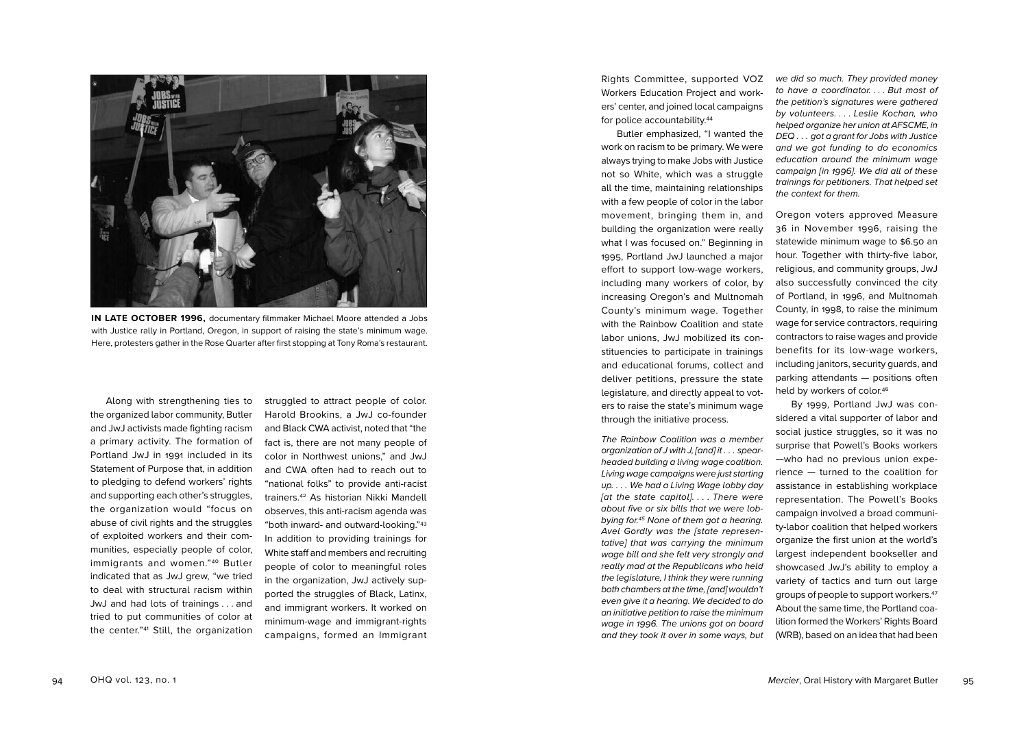

**IN LATE OCTOBER 1996,** documentary filmmaker Michael Moore attended a Jobs with Justice rally in Portland, Oregon, in support of raising the state's minimum wage. Here, protesters gather in the Rose Quarter after first stopping at Tony Roma's restaurant.

Along with strengthening ties to the organized labor community, Butler and JwJ activists made fighting racism a primary activity. The formation of Portland JwJ in 1991 included in its Statement of Purpose that, in addition to pledging to defend workers' rights and supporting each other's struggles, the organization would "focus on abuse of civil rights and the struggles of exploited workers and their com munities, especially people of color, immigrants and women."40 Butler indicated that as JwJ grew, "we tried to deal with structural racism within JwJ and had lots of trainings . . . and tried to put communities of color at the center."41 Still, the organization

struggled to attract people of color. Harold Brookins, a JwJ co-founder and Black CWA activist, noted that "the fact is, there are not many people of color in Northwest unions," and JwJ and CWA often had to reach out to "national folks" to provide anti-racist trainers.42 As historian Nikki Mandell observes, this anti-racism agenda was "both inward- and outward-looking."43 In addition to providing trainings for White staff and members and recruiting people of color to meaningful roles in the organization, JwJ actively sup ported the struggles of Black, Latinx, and immigrant workers. It worked on minimum-wage and immigrant-rights campaigns, formed an Immigrant

Rights Committee, supported VOZ Workers Education Project and work ers' center, and joined local campaigns for police accountability.<sup>44</sup>

Butler emphasized, "I wanted the work on racism to be primary. We were always trying to make Jobs with Justice not so White, which was a struggle all the time, maintaining relationships with a few people of color in the labor movement, bringing them in, and building the organization were really what I was focused on." Beginning in 1995, Portland JwJ launched a major effort to support low-wage workers, including many workers of color, by increasing Oregon's and Multnomah County's minimum wage. Together with the Rainbow Coalition and state labor unions, JwJ mobilized its con stituencies to participate in trainings and educational forums, collect and deliver petitions, pressure the state legislature, and directly appeal to vot ers to raise the state's minimum wage through the initiative process.

*The Rainbow Coalition was a member organization of J with J, [and] it . . . spearheaded building a living wage coalition. Living wage campaigns were just starting up. . . . We had a Living Wage lobby day [at the state capitol]. . . . There were about five or six bills that we were lob bying for.45 None of them got a hearing. Avel Gordly was the [state represen tative] that was carrying the minimum wage bill and she felt very strongly and really mad at the Republicans who held the legislature, I think they were running both chambers at the time, [and] wouldn't even give it a hearing. We decided to do an initiative petition to raise the minimum wage in 1996. The unions got on board and they took it over in some ways, but* 

*we did so much. They provided money to have a coordinator. . . . But most of the petition's signatures were gathered by volunteers. . . . Leslie Kochan, who helped organize her union at AFSCME, in DEQ . . . got a grant for Jobs with Justice and we got funding to do economics education around the minimum wage campaign [in 1996]. We did all of these trainings for petitioners. That helped set the context for them.* 

Oregon voters approved Measure 36 in November 1996, raising the statewide minimum wage to \$ 6 .50 an hour. Together with thirty-five labor, religious, and community groups, JwJ also successfully convinced the city of Portland, in 1996, and Multnomah County, in 1998, to raise the minimum wage for service contractors, requiring contractors to raise wages and provide benefits for its low-wage workers, including janitors, security guards, and parking attendants — positions often held by workers of color.<sup>46</sup>

By 1999, Portland JwJ was con sidered a vital supporter of labor and social justice struggles, so it was no surprise that Powell's Books workers —who had no previous union expe rience — turned to the coalition for assistance in establishing workplace representation. The Powell's Books campaign involved a broad communi ty-labor coalition that helped workers organize the first union at the world's largest independent bookseller and showcased JwJ's ability to employ a variety of tactics and turn out large groups of people to support workers.47 About the same time, the Portland coa lition formed the Workers' Rights Board (WRB), based on an idea that had been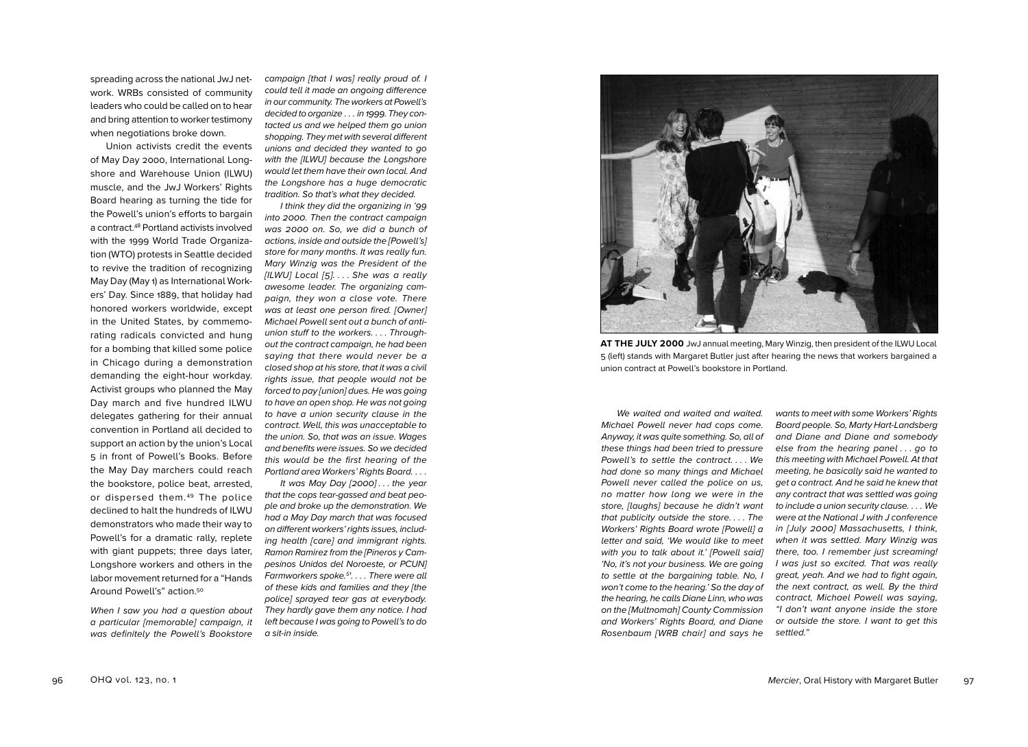spreading across the national JwJ net work. WRBs consisted of community leaders who could be called on to hear and bring attention to worker testimony when negotiations broke down.

Union activists credit the events of May Day 2000, International Long shore and Warehouse Union (ILWU) muscle, and the JwJ Workers' Rights Board hearing as turning the tide for the Powell's union's efforts to bargain a contract.48 Portland activists involved with the 1999 World Trade Organiza tion (WTO) protests in Seattle decided to revive the tradition of recognizing May Day (May 1) as International Work ers' Day. Since 1889, that holiday had honored workers worldwide, except in the United States, by commemo rating radicals convicted and hung for a bombing that killed some police in Chicago during a demonstration demanding the eight-hour workday. Activist groups who planned the May Day march and five hundred ILWU delegates gathering for their annual convention in Portland all decided to support an action by the union's Local 5 in front of Powell's Books. Before the May Day marchers could reach the bookstore, police beat, arrested, or dispersed them.<sup>49</sup> The police declined to halt the hundreds of ILWU demonstrators who made their way to Powell's for a dramatic rally, replete with giant puppets; three days later, Longshore workers and others in the labor movement returned for a "Hands Around Powell's" action.50

*When I saw you had a question about a particular [memorable] campaign, it was definitely the Powell's Bookstore*  *campaign [that I was] really proud of. I could tell it made an ongoing difference in our community. The workers at Powell's decided to organize . . . in 1999. They con tacted us and we helped them go union shopping. They met with several different unions and decided they wanted to go with the [ILWU] because the Longshore would let them have their own local. And the Longshore has a huge democratic tradition. So that's what they decided.* 

*I think they did the organizing in '99 into 2000. Then the contract campaign was 2000 on. So, we did a bunch of actions, inside and outside the [Powell's] store for many months. It was really fun. Mary Winzig was the President of the [ILWU] Local [5]. . . . She was a really awesome leader. The organizing cam paign, they won a close vote. There was at least one person fired. [Owner] Michael Powell sent out a bunch of antiunion stuff to the workers. . . . Throughout the contract campaign, he had been saying that there would never be a closed shop at his store, that it was a civil rights issue, that people would not be forced to pay [union] dues. He was going to have an open shop. He was not going to have a union security clause in the contract. Well, this was unacceptable to the union. So, that was an issue. Wages and benefits were issues. So we decided this would be the first hearing of the Portland area Workers' Rights Board. . . .*

*It was May Day [2000] . . . the year that the cops tear-gassed and beat peo ple and broke up the demonstration. We had a May Day march that was focused on different workers' rights issues, including health [care] and immigrant rights. Ramon Ramirez from the [Pineros y Cam pesinos Unidos del Noroeste, or PCUN] Farmworkers spoke.51 . . . . There were all of these kids and families and they [the police] sprayed tear gas at everybody. They hardly gave them any notice. I had left because I was going to Powell's to do a sit-in inside.* 



**AT THE JULY 2000** JwJ annual meeting, Mary Winzig, then president of the ILWU Local 5 (left) stands with Margaret Butler just after hearing the news that workers bargained a union contract at Powell's bookstore in Portland.

*We waited and waited and waited. Michael Powell never had cops come. Anyway, it was quite something. So, all of these things had been tried to pressure Powell's to settle the contract. . . . We had done so many things and Michael Powell never called the police on us, no matter how long we were in the store, [laughs] because he didn't want that publicity outside the store. . . . The Workers' Rights Board wrote [Powell] a letter and said, 'We would like to meet with you to talk about it.' [Powell said] 'No, it's not your business. We are going to settle at the bargaining table. No, I won't come to the hearing.' So the day of the hearing, he calls Diane Linn, who was on the [Multnomah] County Commission and Workers' Rights Board, and Diane Rosenbaum [WRB chair] and says he* 

*wants to meet with some Workers' Rights Board people. So, Marty Hart-Landsberg and Diane and Diane and somebody else from the hearing panel . . . go to this meeting with Michael Powell. At that meeting, he basically said he wanted to get a contract. And he said he knew that any contract that was settled was going to include a union security clause. . . . We were at the National J with J conference in [July 2000] Massachusetts, I think, when it was settled. Mary Winzig was there, too. I remember just screaming! I was just so excited. That was really great, yeah. And we had to fight again, the next contract, as well. By the third contract, Michael Powell was saying, "I don't want anyone inside the store or outside the store. I want to get this settled."*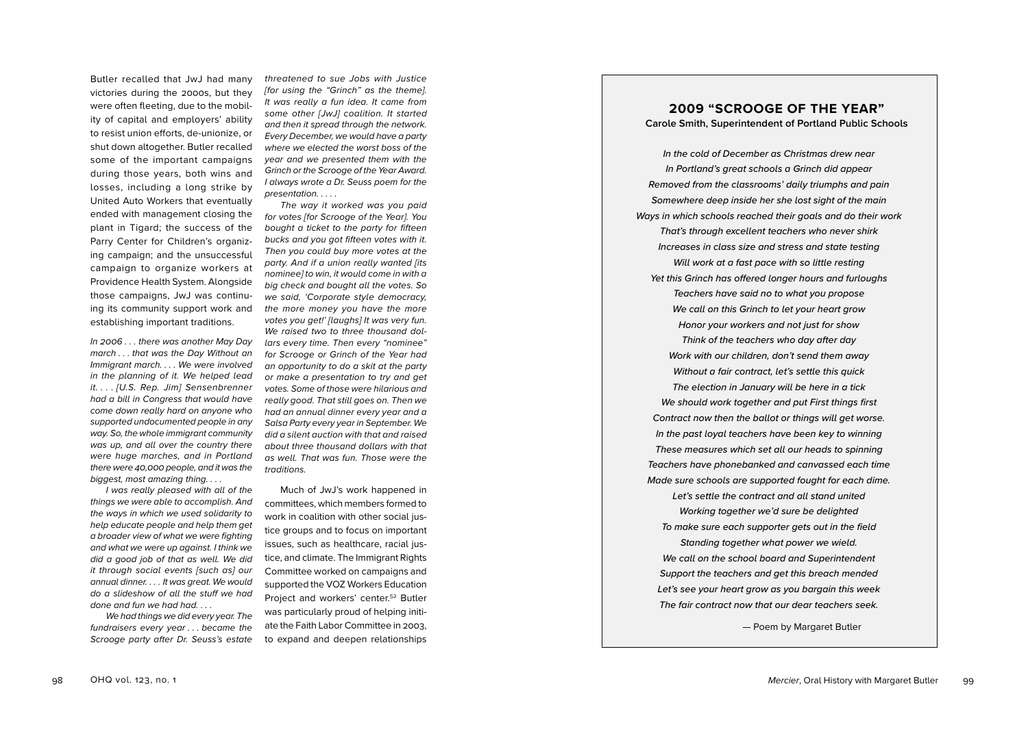Butler recalled that JwJ had many victories during the 2000s, but they were often fleeting, due to the mobil ity of capital and employers' ability to resist union efforts, de-unionize, or shut down altogether. Butler recalled some of the important campaigns during those years, both wins and losses, including a long strike by United Auto Workers that eventually ended with management closing the plant in Tigard; the success of the Parry Center for Children's organiz ing campaign; and the unsuccessful campaign to organize workers at Providence Health System. Alongside those campaigns, JwJ was continu ing its community support work and establishing important traditions.

*In 2006 . . . there was another May Day march . . . that was the Day Without an Immigrant march. . . . We were involved in the planning of it. We helped lead it. . . . [U.S. Rep. Jim] Sensenbrenner had a bill in Congress that would have come down really hard on anyone who supported undocumented people in any way. So, the whole immigrant community was up, and all over the country there were huge marches, and in Portland there were 40,000 people, and it was the biggest, most amazing thing. . . .*

*I was really pleased with all of the things we were able to accomplish. And the ways in which we used solidarity to help educate people and help them get a broader view of what we were fighting and what we were up against. I think we did a good job of that as well. We did it through social events [such as] our annual dinner. . . . It was great. We would do a slideshow of all the stuff we had done and fun we had had. . . .*

*We had things we did every year. The fundraisers every year . . . became the Scrooge party after Dr. Seuss's estate* 

*threatened to sue Jobs with Justice [for using the "Grinch" as the theme]. It was really a fun idea. It came from some other [JwJ] coalition. It started and then it spread through the network. Every December, we would have a party where we elected the worst boss of the year and we presented them with the Grinch or the Scrooge of the Year Award. I always wrote a Dr. Seuss poem for the presentation. . . . .*

*The way it worked was you paid for votes [for Scrooge of the Year]. You bought a ticket to the party for fifteen bucks and you got fifteen votes with it. Then you could buy more votes at the party. And if a union really wanted [its nominee] to win, it would come in with a big check and bought all the votes. So we said, 'Corporate style democracy, the more money you have the more votes you get!' [laughs] It was very fun. We raised two to three thousand dol lars every time. Then every "nominee" for Scrooge or Grinch of the Year had an opportunity to do a skit at the party or make a presentation to try and get votes. Some of those were hilarious and really good. That still goes on. Then we had an annual dinner every year and a Salsa Party every year in September. We did a silent auction with that and raised about three thousand dollars with that as well. That was fun. Those were the traditions.*

Much of JwJ's work happened in committees, which members formed to work in coalition with other social jus tice groups and to focus on important issues, such as healthcare, racial jus tice, and climate. The Immigrant Rights Committee worked on campaigns and supported the VOZ Workers Education Project and workers' center.<sup>52</sup> Butler was particularly proud of helping initi ate the Faith Labor Committee in 2003, to expand and deepen relationships

### **2009 "SCROOGE OF THE YEAR" Carole Smith, Superintendent of Portland Public Schools**

*In the cold of December as Christmas drew near In Portland's great schools a Grinch did appear Removed from the classrooms' daily triumphs and pain Somewhere deep inside her she lost sight of the main Ways in which schools reached their goals and do their work That's through excellent teachers who never shirk Increases in class size and stress and state testing Will work at a fast pace with so little resting Yet this Grinch has offered longer hours and furloughs Teachers have said no to what you propose We call on this Grinch to let your heart grow Honor your workers and not just for show Think of the teachers who day after day Work with our children, don't send them away Without a fair contract, let's settle this quick The election in January will be here in a tick We should work together and put First things first Contract now then the ballot or things will get worse. In the past loyal teachers have been key to winning These measures which set all our heads to spinning Teachers have phonebanked and canvassed each time Made sure schools are supported fought for each dime. Let's settle the contract and all stand united Working together we'd sure be delighted To make sure each supporter gets out in the field Standing together what power we wield. We call on the school board and Superintendent Support the teachers and get this breach mended Let's see your heart grow as you bargain this week The fair contract now that our dear teachers seek.*

 $-$  Poem by Margaret Butler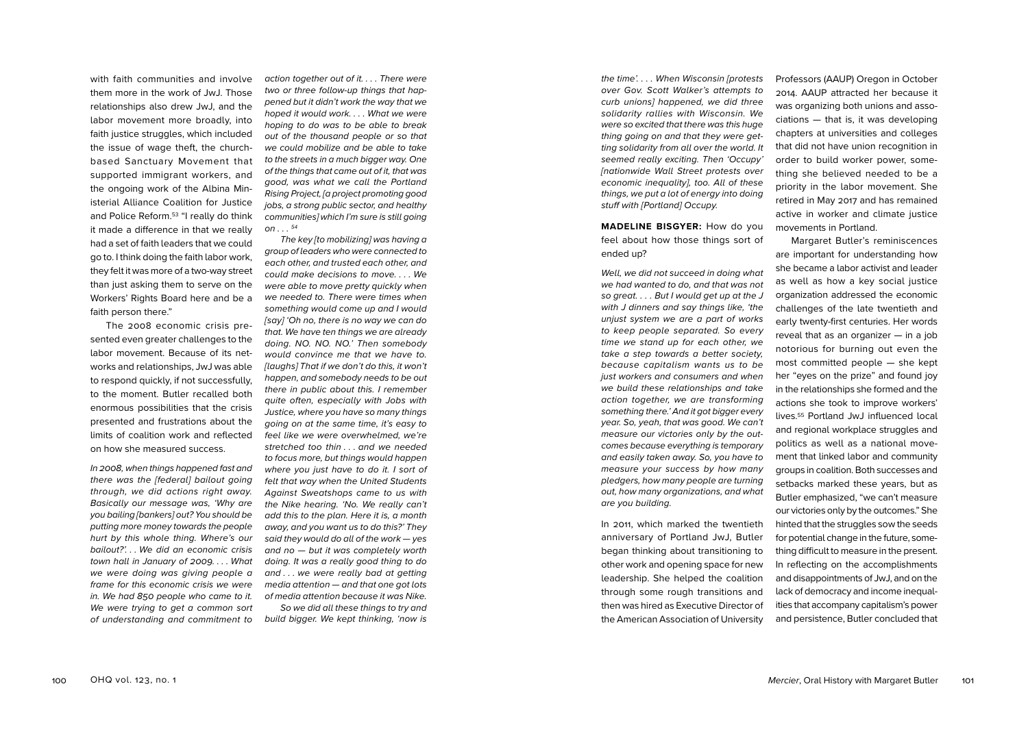with faith communities and involve them more in the work of JwJ. Those relationships also drew JwJ, and the labor movement more broadly, into faith justice struggles, which included the issue of wage theft, the churchbased Sanctuary Movement that supported immigrant workers, and the ongoing work of the Albina Min isterial Alliance Coalition for Justice and Police Reform.53 "I really do think it made a difference in that we really had a set of faith leaders that we could go to. I think doing the faith labor work, they felt it was more of a two-way street than just asking them to serve on the Workers' Rights Board here and be a faith person there."

The 2008 economic crisis pre sented even greater challenges to the labor movement. Because of its net works and relationships, JwJ was able to respond quickly, if not successfully, to the moment. Butler recalled both enormous possibilities that the crisis presented and frustrations about the limits of coalition work and reflected on how she measured success.

*In 2008, when things happened fast and there was the [federal] bailout going through, we did actions right away. Basically our message was, 'Why are you bailing [bankers] out? You should be putting more money towards the people hurt by this whole thing. Where's our bailout?'. . . We did an economic crisis town hall in January of 2009. . . . What we were doing was giving people a frame for this economic crisis we were in. We had 850 people who came to it. We were trying to get a common sort of understanding and commitment to* 

*action together out of it. . . . There were two or three follow-up things that hap pened but it didn't work the way that we hoped it would work. . . . What we were hoping to do was to be able to break out of the thousand people or so that we could mobilize and be able to take to the streets in a much bigger way. One of the things that came out of it, that was good, was what we call the Portland Rising Project, [a project promoting good jobs, a strong public sector, and healthy communities] which I'm sure is still going on . . . <sup>54</sup>*

*The key [to mobilizing] was having a group of leaders who were connected to each other, and trusted each other, and could make decisions to move. . . . We were able to move pretty quickly when we needed to. There were times when something would come up and I would [say] 'Oh no, there is no way we can do that. We have ten things we are already doing. NO. NO. NO.' Then somebody would convince me that we have to. [laughs] That if we don't do this, it won't happen, and somebody needs to be out there in public about this. I remember quite often, especially with Jobs with Justice, where you have so many things going on at the same time, it's easy to feel like we were overwhelmed, we're stretched too thin . . . and we needed to focus more, but things would happen where you just have to do it. I sort of felt that way when the United Students Against Sweatshops came to us with the Nike hearing. 'No. We really can't add this to the plan. Here it is, a month away, and you want us to do this?' They said they would do all of the work — yes and no — but it was completely worth doing. It was a really good thing to do and . . . we were really bad at getting media attention — and that one got lots of media attention because it was Nike.* 

*So we did all these things to try and build bigger. We kept thinking, 'now is* 

*the time'. . . . When Wisconsin [protests over Gov. Scott Walker's attempts to curb unions] happened, we did three solidarity rallies with Wisconsin. We were so excited that there was this huge thing going on and that they were get ting solidarity from all over the world. It seemed really exciting. Then 'Occupy' [nationwide Wall Street protests over economic inequality], too. All of these things, we put a lot of energy into doing stuff with [Portland] Occupy.* 

## **MADELINE BISGYER:** How do you feel about how those things sort of ended up?

*Well, we did not succeed in doing what we had wanted to do, and that was not so great. . . . But I would get up at the J with J dinners and say things like, 'the unjust system we are a part of works to keep people separated. So every time we stand up for each other, we take a step towards a better society, because capitalism wants us to be just workers and consumers and when we build these relationships and take action together, we are transforming something there.' And it got bigger every year. So, yeah, that was good. We can't measure our victories only by the out comes because everything is temporary and easily taken away. So, you have to measure your success by how many pledgers, how many people are turning out, how many organizations, and what are you building.*

In 2011, which marked the twentieth anniversary of Portland JwJ, Butler began thinking about transitioning to other work and opening space for new leadership. She helped the coalition through some rough transitions and then was hired as Executive Director of the American Association of University

Professors (AAUP) Oregon in October 2014. AAUP attracted her because it was organizing both unions and asso ciations — that is, it was developing chapters at universities and colleges that did not have union recognition in order to build worker power, some thing she believed needed to be a priority in the labor movement. She retired in May 2017 and has remained active in worker and climate justice movements in Portland.

Margaret Butler's reminiscences are important for understanding how she became a labor activist and leader as well as how a key social justice organization addressed the economic challenges of the late twentieth and early twenty-first centuries. Her words reveal that as an organizer — in a job notorious for burning out even the most committed people — she kept her "eyes on the prize" and found joy in the relationships she formed and the actions she took to improve workers' lives.55 Portland JwJ influenced local and regional workplace struggles and politics as well as a national move ment that linked labor and community groups in coalition. Both successes and setbacks marked these years, but as Butler emphasized, "we can't measure our victories only by the outcomes." She hinted that the struggles sow the seeds for potential change in the future, some thing difficult to measure in the present. In reflecting on the accomplishments and disappointments of JwJ, and on the lack of democracy and income inequal ities that accompany capitalism's power and persistence, Butler concluded that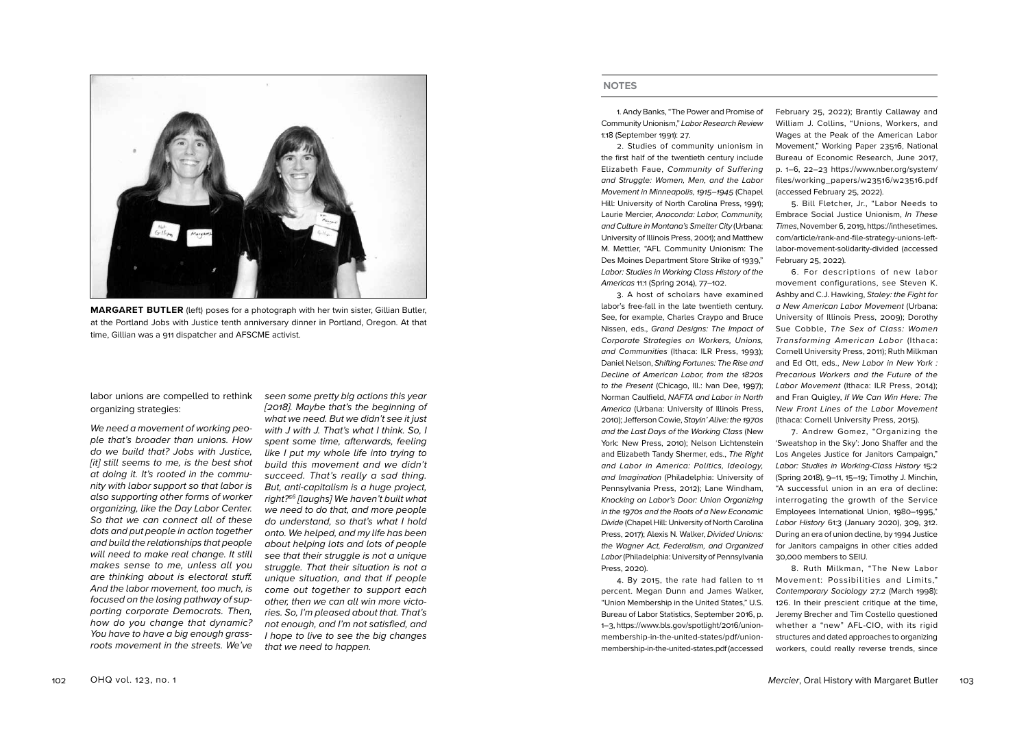

**MARGARET BUTLER** (left) poses for a photograph with her twin sister, Gillian Butler, at the Portland Jobs with Justice tenth anniversary dinner in Portland, Oregon. At that time, Gillian was a 911 dispatcher and AFSCME activist.

labor unions are compelled to rethink organizing strategies:

*We need a movement of working peo ple that's broader than unions. How do we build that? Jobs with Justice, [it] still seems to me, is the best shot at doing it. It's rooted in the commu nity with labor support so that labor is also supporting other forms of worker organizing, like the Day Labor Center. So that we can connect all of these dots and put people in action together and build the relationships that people will need to make real change. It still makes sense to me, unless all you are thinking about is electoral stuff. And the labor movement, too much, is focused on the losing pathway of sup porting corporate Democrats. Then, how do you change that dynamic? You have to have a big enough grassroots movement in the streets. We've* 

*seen some pretty big actions this year [2018]. Maybe that's the beginning of what we need. But we didn't see it just with J with J. That's what I think. So, I spent some time, afterwards, feeling like I put my whole life into trying to build this movement and we didn't succeed. That's really a sad thing. But, anti-capitalism is a huge project, right?56 [laughs] We haven't built what we need to do that, and more people do understand, so that's what I hold onto. We helped, and my life has been about helping lots and lots of people see that their struggle is not a unique struggle. That their situation is not a unique situation, and that if people come out together to support each other, then we can all win more victo ries. So, I'm pleased about that. That's not enough, and I'm not satisfied, and I hope to live to see the big changes that we need to happen.*

#### **NOTES**

1. Andy Banks, "The Power and Promise of Community Unionism," *Labor Research Review* 1:18 (September 1991): 27.

2. Studies of community unionism in the first half of the twentieth century include Elizabeth Faue, *Community of Suffering and Struggle: Women, Men, and the Labor Movement in Minneapolis, 1915–1945* (Chapel Hill: University of North Carolina Press, 1991); Laurie Mercier, *Anaconda: Labor, Community, and Culture in Montana's Smelter City* (Urbana: University of Illinois Press, 2001); and Matthew M. Mettler, "AFL Community Unionism: The Des Moines Department Store Strike of 1939," *Labor: Studies in Working Class History of the Americas* 11:1 (Spring 2014), 77–102.

3. A host of scholars have examined labor's free-fall in the late twentieth century. See, for example, Charles Craypo and Bruce Nissen, eds., *Grand Designs: The Impact of Corporate Strategies on Workers, Unions, and Communities* (Ithaca: ILR Press, 1993); Daniel Nelson, *Shifting Fortunes: The Rise and Decline of American Labor, from the 1820s to the Present* (Chicago, Ill.: Ivan Dee, 1997); Norman Caulfield, *NAFTA and Labor in North America* (Urbana: University of Illinois Press, 2010); Jefferson Cowie, *Stayin' Alive: the 1970s and the Last Days of the Working Class* (New York: New Press, 2010); Nelson Lichtenstein and Elizabeth Tandy Shermer, eds., *The Right and Labor in America: Politics, Ideology, and Imagination* (Philadelphia: University of Pennsylvania Press, 2012); Lane Windham, *Knocking on Labor's Door: Union Organizing in the 1970s and the Roots of a New Economic Divide* (Chapel Hill: University of North Carolina Press, 2017); Alexis N. Walker, *Divided Unions: the Wagner Act, Federalism, and Organized Labor* (Philadelphia: University of Pennsylvania Press, 2020).

4. By 2015, the rate had fallen to 11 percent. Megan Dunn and James Walker, "Union Membership in the United States," U.S. Bureau of Labor Statistics, September 2016, p. 1–3, https://www.bls.gov/spotlight/2016/unionmembership-in-the-united-states/pdf/unionmembership-in-the-united-states.pdf (accessed

February 25, 2022); Brantly Callaway and William J. Collins, "Unions, Workers, and Wages at the Peak of the American Labor Movement," Working Paper 23516, National Bureau of Economic Research, June 2017, p. 1–6, 22–23 https://www.nber.org/system/ files/working\_papers/w23516/w23516.pdf (accessed February 25, 2022) .

5. Bill Fletcher, Jr., "Labor Needs to Embrace Social Justice Unionism, *In These Times*, November 6, 2019, https://inthesetimes. com/article/rank-and-file-strategy-unions-leftlabor-movement-solidarity-divided (accessed February 25, 2022).

6. For descriptions of new labor movement configurations, see Steven K. Ashby and C.J. Hawking, *Staley: the Fight for a New American Labor Movement* (Urbana: University of Illinois Press, 2009); Dorothy Sue Cobble, *The Sex of Class: Women Transforming American Labor* (Ithaca: Cornell University Press, 2011); Ruth Milkman and Ed Ott, eds., *New Labor in New York : Precarious Workers and the Future of the Labor Movement* (Ithaca: ILR Press, 2014); and Fran Quigley, *If We Can Win Here: The New Front Lines of the Labor Movement* (Ithaca: Cornell University Press, 2015).

7. Andrew Gomez, "Organizing the 'Sweatshop in the Sky': Jono Shaffer and the Los Angeles Justice for Janitors Campaign," *Labor: Studies in Working-Class History* 15:2 (Spring 2018), 9–11, 15–19; Timothy J. Minchin, "A successful union in an era of decline: interrogating the growth of the Service Employees International Union, 1980–1995," *Labor History* 61:3 (January 2020), 309, 312. During an era of union decline, by 1994 Justice for Janitors campaigns in other cities added 30,000 members to SEIU.

8. Ruth Milkman, "The New Labor Movement: Possibilities and Limits," *Contemporary Sociology* 27:2 (March 1998): 126. In their prescient critique at the time, Jeremy Brecher and Tim Costello questioned whether a "new" AFL-CIO, with its rigid structures and dated approaches to organizing workers, could really reverse trends, since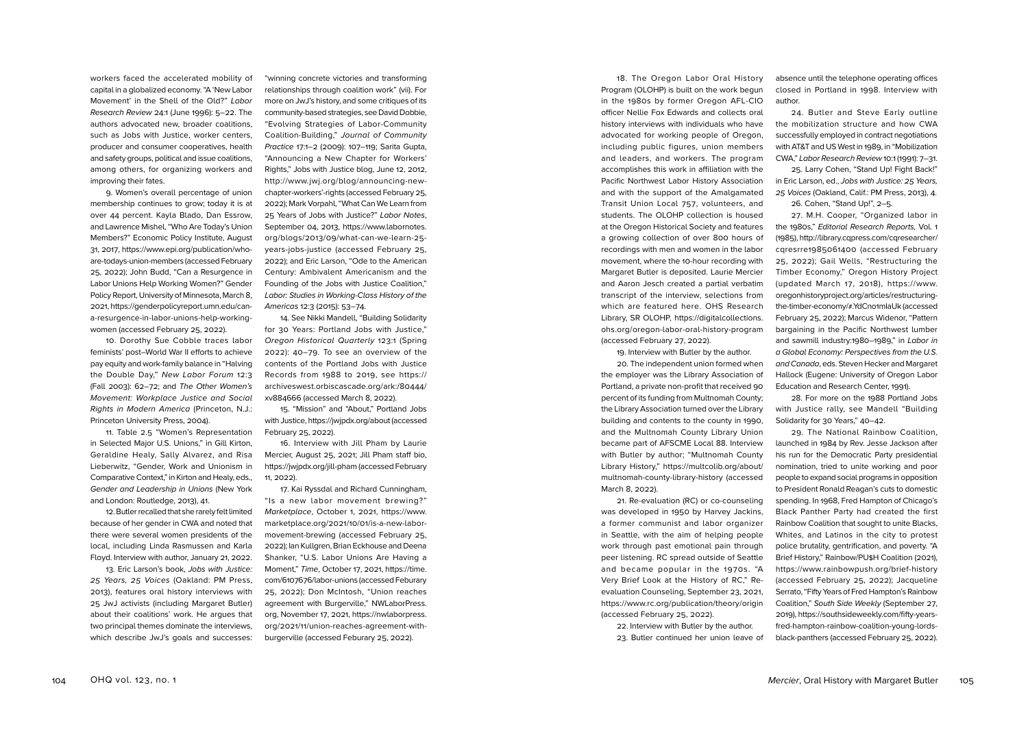workers faced the accelerated mobility of capital in a globalized economy. "A 'New Labor Movement' in the Shell of the Old?" *Labor Research Review* 24:1 (June 1996): 5–22. The authors advocated new, broader coalitions, such as Jobs with Justice, worker centers, producer and consumer cooperatives, health and safety groups, political and issue coalitions, among others, for organizing workers and improving their fates.

9. Women's overall percentage of union membership continues to grow; today it is at over 44 percent. Kayla Blado, Dan Essrow, and Lawrence Mishel, "Who Are Today's Union Members?" Economic Policy Institute, August 31, 2017, https://www.epi.org/publication/whoare-todays-union-members (accessed February 25, 2022); John Budd, "Can a Resurgence in Labor Unions Help Working Women?" Gender Policy Report, University of Minnesota, March 8, 2021, https://genderpolicyreport.umn.edu/cana-resurgence-in-labor-unions-help-workingwomen (accessed February 25, 2022).

10. Dorothy Sue Cobble traces labor feminists' post–World War II efforts to achieve pay equity and work-family balance in "Halving the Double Day," *New Labor Forum* 12:3 (Fall 2003): 62–72; and *The Other Women's Movement: Workplace Justice and Social Rights in Modern America* (Princeton, N.J.: Princeton University Press, 2004).

11. Table 2.5 "Women's Representation in Selected Major U.S. Unions," in Gill Kirton, Geraldine Healy, Sally Alvarez, and Risa Lieberwitz, "Gender, Work and Unionism in Comparative Context," in Kirton and Healy, eds., *Gender and Leadership in Unions* (New York and London: Routledge, 2013), 41.

12. Butler recalled that she rarely felt limited because of her gender in CWA and noted that there were several women presidents of the local, including Linda Rasmussen and Karla Floyd. Interview with author, January 21, 2022.

13. Eric Larson's book, *Jobs with Justice: 25 Years, 25 Voices* (Oakland: PM Press, 2013), features oral history interviews with 25 JwJ activists (including Margaret Butler) about their coalitions' work. He argues that two principal themes dominate the interviews, which describe JwJ's goals and successes:

"winning concrete victories and transforming relationships through coalition work" (vii). For more on JwJ's history, and some critiques of its community-based strategies, see David Dobbie, "Evolving Strategies of Labor-Community Coalition-Building," *Journal of Community Practice* 17:1–2 (2009): 107–119; Sarita Gupta, "Announcing a New Chapter for Workers' Rights," Jobs with Justice blog, June 12, 2012, http://www.jwj.org/blog/announcing-newchapter-workers'-rights (accessed February 25, 2022); Mark Vorpahl, "What Can We Learn from 25 Years of Jobs with Justice?" *Labor Notes*, September 04, 2013, https://www.labornotes. org/blogs/2013/09/what-can-we-learn-25 years-jobs-justice (accessed February 25, 2022); and Eric Larson, "Ode to the American Century: Ambivalent Americanism and the Founding of the Jobs with Justice Coalition," *Labor: Studies in Working-Class History of the Americas* 12:3 (2015): 53–74.

14. See Nikki Mandell, "Building Solidarity for 30 Years: Portland Jobs with Justice," *Oregon Historical Quarterly* 123:1 (Spring 2022): 40–79. To see an overview of the contents of the Portland Jobs with Justice Records from 1988 to 2019, see https:// archiveswest.orbiscascade.org/ark:/80444/ xv884666 (accessed March 8, 2022).

15. "Mission" and "About," Portland Jobs with Justice, https://jwjpdx.org/about (accessed February 25, 2022).

16. Interview with Jill Pham by Laurie Mercier, August 25, 2021; Jill Pham staff bio, https://jwjpdx.org/jill-pham (accessed February 11, 2022).

17. Kai Ryssdal and Richard Cunningham, "Is a new labor movement brewing?" *Marketplace*, October 1, 2021, https://www. marketplace.org/2021/10/01/is-a-new-labormovement-brewing (accessed February 25, 2022); Ian Kullgren, Brian Eckhouse and Deena Shanker, "U.S. Labor Unions Are Having a Moment," *Time*, October 17, 2021, https://time. com/6107676/labor-unions (accessed Feburary 25, 2022); Don McIntosh, "Union reaches agreement with Burgerville," NWLaborPress. org, November 17, 2021, https://nwlaborpress. org/2021/11/union-reaches-agreement-withburgerville (accessed Feburary 25, 2022).

18. The Oregon Labor Oral History Program (OLOHP) is built on the work begun in the 1980s by former Oregon AFL-CIO officer Nellie Fox Edwards and collects oral history interviews with individuals who have advocated for working people of Oregon, including public figures, union members and leaders, and workers. The program accomplishes this work in affiliation with the Pacific Northwest Labor History Association and with the support of the Amalgamated Transit Union Local 757, volunteers, and students. The OLOHP collection is housed at the Oregon Historical Society and features a growing collection of over 800 hours of recordings with men and women in the labor movement, where the 10-hour recording with Margaret Butler is deposited. Laurie Mercier and Aaron Jesch created a partial verbatim transcript of the interview, selections from which are featured here. OHS Research Library, SR OLOHP, https://digitalcollections. ohs.org/oregon-labor-oral-history-program (accessed February 27, 2022).

19. Interview with Butler by the author. 20. The independent union formed when the employer was the Library Association of Portland, a private non-profit that received 90 percent of its funding from Multnomah County; the Library Association turned over the Library building and contents to the county in 1990, and the Multnomah County Library Union became part of AFSCME Local 88. Interview with Butler by author; "Multnomah County Library History," https://multcolib.org/about/ multnomah-county-library-history (accessed March 8, 2022).

21. Re-evaluation (RC) or co-counseling was developed in 1950 by Harvey Jackins, a former communist and labor organizer in Seattle, with the aim of helping people work through past emotional pain through peer listening. RC spread outside of Seattle and became popular in the 1970s. "A Very Brief Look at the History of RC," Reevaluation Counseling, September 23, 2021, https://www.rc.org/publication/theory/origin (accessed February 25, 2022).

22. Interview with Butler by the author.

23. Butler continued her union leave of

absence until the telephone operating offices closed in Portland in 1998. Interview with author.

24. Butler and Steve Early outline the mobilization structure and how CWA successfully employed in contract negotiations with AT&T and US West in 1989, in "Mobilization CWA," *Labor Research Review* 10:1 (1991): 7–31.

25. Larry Cohen, "Stand Up! Fight Back!" in Eric Larson, ed., *Jobs with Justice: 25 Years, 25 Voices* (Oakland, Calif.: PM Press, 2013), 4.

26. Cohen, "Stand Up!", 2–5.

27. M.H. Cooper, "Organized labor in the 1980s," *Editorial Research Reports,* Vol. 1 (1985), http://library.cqpress.com/cqresearcher/ cqresrre1985061400 (accessed February 25, 2022); Gail Wells, "Restructuring the Timber Economy," Oregon History Project (updated March 17, 2018), https://www. oregonhistoryproject.org/articles/restructuringthe-timber-economy/#.YdCno1mIaUk (accessed February 25, 2022); Marcus Widenor, "Pattern bargaining in the Pacific Northwest lumber and sawmill industry:1980–1989," in *Labor in a Global Economy: Perspectives from the U.S. and Canada*, eds. Steven Hecker and Margaret Hallock (Eugene: University of Oregon Labor Education and Research Center, 1991).

28. For more on the 1988 Portland Jobs with Justice rally, see Mandell "Building Solidarity for 30 Years," 40–42.

29. The National Rainbow Coalition, launched in 1984 by Rev. Jesse Jackson after his run for the Democratic Party presidential nomination, tried to unite working and poor people to expand social programs in opposition to President Ronald Reagan's cuts to domestic spending. In 1968, Fred Hampton of Chicago's Black Panther Party had created the first Rainbow Coalition that sought to unite Blacks, Whites, and Latinos in the city to protest police brutality, gentrification, and poverty. "A Brief History," Rainbow/PU\$H Coalition (2021), https://www.rainbowpush.org/brief-history (accessed February 25, 2022); Jacqueline Serrato, "Fifty Years of Fred Hampton's Rainbow Coalition," *South Side Weekly* (September 27, 2019), https://southsideweekly.com/fifty-yearsfred-hampton-rainbow-coalition-young-lordsblack-panthers (accessed February 25, 2022).